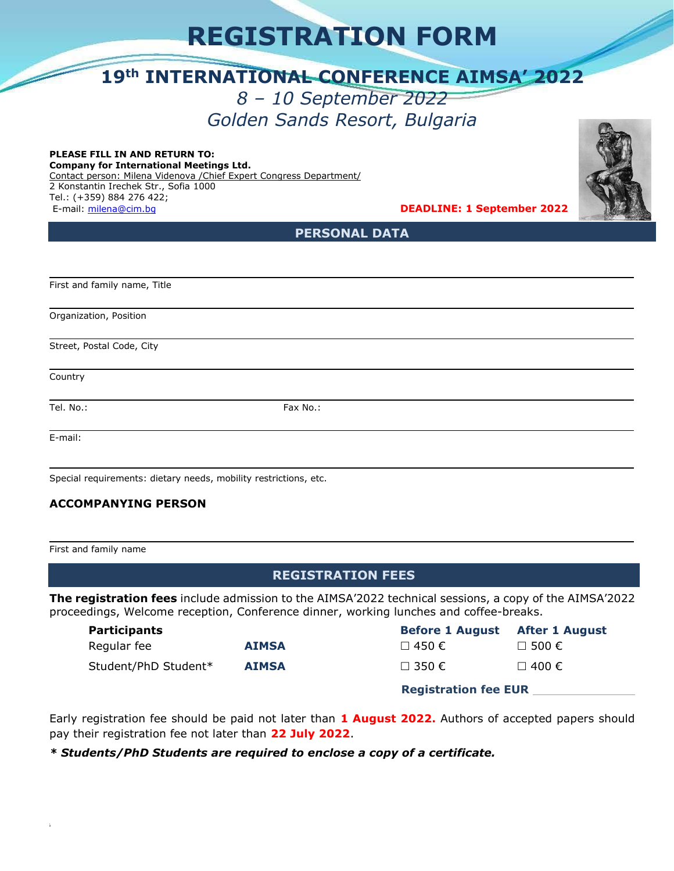# **REGISTRATION FORM**

## **19th INTERNATIONAL CONFERENCE AIMSA' 2022**

### *8 – 10 September 2022 Golden Sands Resort, Bulgaria*

#### **PLEASE FILL IN AND RETURN TO: Company for International Meetings Ltd.**

Contact person: Milena Videnova /Chief Expert Congress Department/ 2 Konstantin Irechek Str., Sofia 1000 Tel.: (+359) 884 276 422; E-mail: [milena@cim.bg](mailto:milena@cim.bg) **DEADLINE: 1 September 2022**

j.

j.

**PERSONAL DATA**

First and family name, Title

Organization, Position

Street, Postal Code, City

Country

Tel. No.: Fax No.: Fax No.:

E-mail:

 $\overline{ }$ 

Special requirements: dietary needs, mobility restrictions, etc.

### **ACCOMPANYING PERSON**

First and family name

### **REGISTRATION FEES**

**The registration fees** include admission to the AIMSA'2022 technical sessions, a copy of the AIMSA'2022 proceedings, Welcome reception, Conference dinner, working lunches and coffee-breaks.

| <b>Participants</b>  |              | <b>Before 1 August</b>      | <b>After 1 August</b> |
|----------------------|--------------|-----------------------------|-----------------------|
| Regular fee          | <b>AIMSA</b> | $\Box$ 450 €                | $\Box$ 500 $\epsilon$ |
| Student/PhD Student* | <b>AIMSA</b> | $\Box$ 350 €                | $\Box$ 400 €          |
|                      |              | <b>Registration fee EUR</b> |                       |

Early registration fee should be paid not later than **1 August 2022.** Authors of accepted papers should pay their registration fee not later than **22 July 2022**.

*\* Students/PhD Students are required to enclose a copy of a certificate.*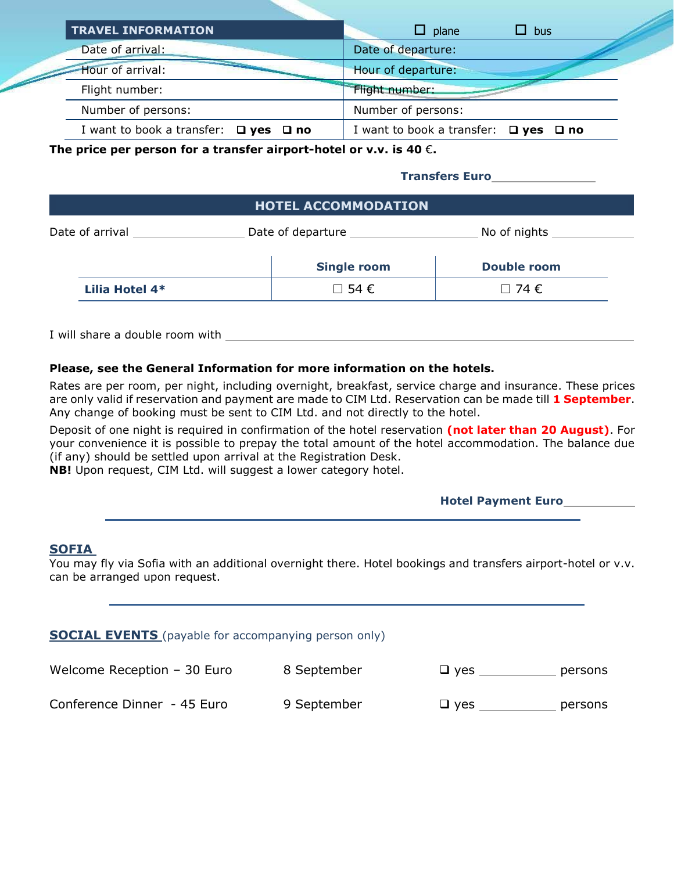| <b>TRAVEL INFORMATION</b>                       | $\Box$ plane<br>$\Box$ bus                      |
|-------------------------------------------------|-------------------------------------------------|
| Date of arrival:                                | Date of departure:                              |
| Hour of arrival:                                | Hour of departure:                              |
| Flight number:                                  | Flight number:                                  |
| Number of persons:                              | Number of persons:                              |
| I want to book a transfer: $\Box$ yes $\Box$ no | I want to book a transfer: $\Box$ yes $\Box$ no |

**The price per person for a transfer airport-hotel or v.v. is 40** €**.** 

**Transfers Euro** 

| <b>HOTEL ACCOMMODATION</b> |                      |                      |  |
|----------------------------|----------------------|----------------------|--|
| Date of arrival            | Date of departure    | No of nights         |  |
|                            | <b>Single room</b>   | Double room          |  |
| Lilia Hotel 4*             | $\Box$ 54 $\epsilon$ | $\Box$ 74 $\epsilon$ |  |

I will share a double room with

#### **Please, see the General Information for more information on the hotels.**

Rates are per room, per night, including overnight, breakfast, service charge and insurance. These prices are only valid if reservation and payment are made to CIM Ltd. Reservation can be made till **1 September**. Any change of booking must be sent to CIM Ltd. and not directly to the hotel.

Deposit of one night is required in confirmation of the hotel reservation **(not later than 20 August)**. For your convenience it is possible to prepay the total amount of the hotel accommodation. The balance due (if any) should be settled upon arrival at the Registration Desk.

**NB!** Upon request, CIM Ltd. will suggest a lower category hotel.

|  | <b>Hotel Payment Euro</b> |  |
|--|---------------------------|--|
|  |                           |  |

#### **SOFIA**

You may fly via Sofia with an additional overnight there. Hotel bookings and transfers airport-hotel or v.v. can be arranged upon request.

| <b>SOCIAL EVENTS</b> (payable for accompanying person only) |             |            |         |  |
|-------------------------------------------------------------|-------------|------------|---------|--|
| Welcome Reception $-30$ Euro                                | 8 September | $\Box$ yes | persons |  |
| Conference Dinner - 45 Euro                                 | 9 September | $\Box$ yes | persons |  |